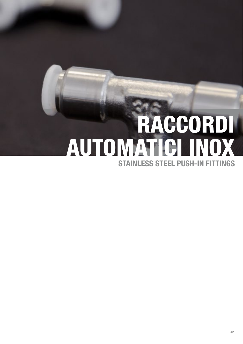# STAINLESS STEEL PUSH-IN FITTINGS RACCORDI AUTOMATICI INOX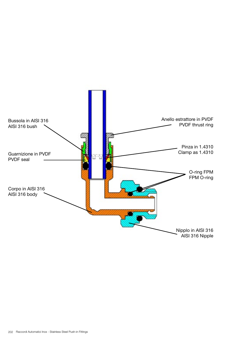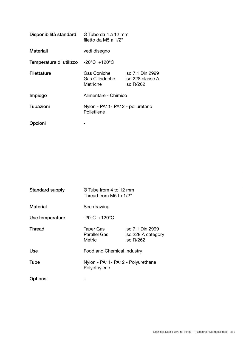| Disponibilità standard  | Ø Tubo da 4 a 12 mm<br>filetto da M5 a 1/2"     |                                                   |  |  |
|-------------------------|-------------------------------------------------|---------------------------------------------------|--|--|
| Materiali               | vedi disegno                                    |                                                   |  |  |
| Temperatura di utilizzo | $-20^{\circ}$ C $+120^{\circ}$ C                |                                                   |  |  |
| Filettature             | Gas Coniche<br>Gas Cilindriche<br>Metriche      | Iso 7.1 Din 2999<br>Iso 228 classe A<br>Iso R/262 |  |  |
| Impiego                 | Alimentare - Chimico                            |                                                   |  |  |
| Tubazioni               | Nylon - PA11- PA12 - poliuretano<br>Polietilene |                                                   |  |  |
| Opzioni                 |                                                 |                                                   |  |  |

| Standard supply | Ø Tube from 4 to 12 mm<br>Thread from M5 to 1/2"  |                                                            |  |  |  |
|-----------------|---------------------------------------------------|------------------------------------------------------------|--|--|--|
| Material        | See drawing                                       |                                                            |  |  |  |
| Use temperature | $-20^{\circ}$ C $+120^{\circ}$ C                  |                                                            |  |  |  |
| Thread          | <b>Taper Gas</b><br>Parallel Gas<br>Metric        | Iso 7.1 Din 2999<br>Iso 228 A category<br><b>Iso R/262</b> |  |  |  |
| Use             | Food and Chemical Industry                        |                                                            |  |  |  |
| Tube            | Nylon - PA11- PA12 - Polyurethane<br>Polyethylene |                                                            |  |  |  |
| Options         |                                                   |                                                            |  |  |  |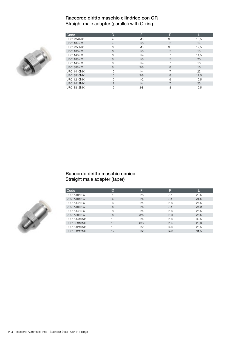## Raccordo diritto maschio cilindrico con OR

Straight male adapter (parallel) with O-ring



| Code               | Ø              | F              | P   |      |
|--------------------|----------------|----------------|-----|------|
| UR01M54NIX         | 4              | M <sub>5</sub> | 3,5 | 16,5 |
| <b>UR01184NIX</b>  | $\overline{4}$ | 1/8            | 5   | 14   |
| UR01M56NIX         | 6              | M <sub>5</sub> | 3,5 | 17,5 |
| <b>UR01186NIX</b>  | 6              | 1/8            | 5   | 15   |
| <b>UR01146NIX</b>  | 6              | 1/4            |     | 14.5 |
| <b>UR01188NIX</b>  | 8              | 1/8            | 5   | 20   |
| <b>UR01148NIX</b>  | 8              | 1/4            | 7   | 16   |
| <b>UR01388NIX</b>  | 8              | 3/8            | 8   | 16   |
| UR011410NIX        | 10             | 1/4            |     | 22   |
| <b>UR013810NIX</b> | 10             | 3/8            | 8   | 17,5 |
| UR011210NIX        | 10             | 1/2            | 9   | 15.5 |
| <b>UR011412NIX</b> | 12             | 1/4            |     | 25   |
| UR013812NIX        | 12             | 3/8            | 8   | 19,5 |

#### Raccordo diritto maschio conico Straight male adapter (taper)

| Code         | Ø  | F   | P    |      |
|--------------|----|-----|------|------|
| UR01K184NIX  | 4  | 1/8 | 7,5  | 20,5 |
| UR01K186NIX  | 6  | 1/8 | 7,5  | 21,5 |
| UR01K146NIX  | 6  | 1/4 | 11.0 | 24,5 |
| UR01K188NIX  | 8  | 1/8 | 7.5  | 27,0 |
| UR01K148NIX  | 8  | 1/4 | 11.0 | 26,5 |
| UR01K388NIX  | 8  | 3/8 | 11,5 | 24,5 |
| UR01K1410NIX | 10 | 1/4 | 11,0 | 32,5 |
| UR01K3810NIX | 10 | 3/8 | 11,5 | 28,0 |
| UR01K1210NIX | 10 | 1/2 | 14,0 | 26,5 |
| UR01K1212NIX | 12 | 1/2 | 14.0 | 31,5 |

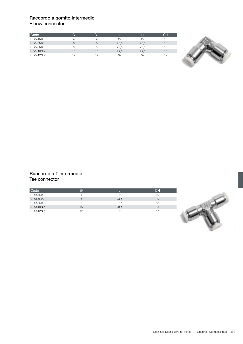## Raccordo a gomito intermedio

Elbow connector

| Code      | Ø  | O <sub>1</sub> |      |      | CН |
|-----------|----|----------------|------|------|----|
| UR044NIX  |    |                | 22   | 22   | 10 |
| UR046NIX  | 6  | 6              | 23,5 | 23,5 | 10 |
| UR048NIX  | 8  | 8              | 27,5 | 27,5 | 13 |
| UR0410NIX | 10 | 10             | 29,5 | 29.5 | 13 |
| UR0412NIX | 12 | 12             | 32   | 32   | 17 |



#### Raccordo a T intermedio Tee connector

| Code             | Ø  |      | CH |
|------------------|----|------|----|
| UR054NIX         |    | 22   | 10 |
| UR056NIX         | 6  | 23,5 | 10 |
| UR058NIX         | 8  | 27,5 | 13 |
| UR0510NIX        | 10 | 29,5 | 13 |
| <b>UR0512NIX</b> | 12 | 32   |    |

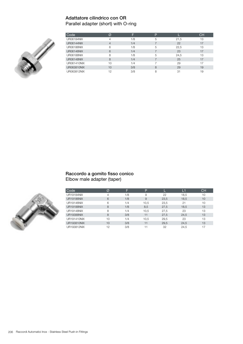## Adattatore cilindrico con OR Parallel adapter (short) with O-ring



|                                            | 13 |  |
|--------------------------------------------|----|--|
| <b>UR06184NIX</b><br>1/8<br>5<br>21.5      |    |  |
| <b>UR06144NIX</b><br>22<br>1/4<br>4        | 17 |  |
| <b>UR06186NIX</b><br>1/8<br>22.5<br>6<br>5 | 13 |  |
| <b>UR06146NIX</b><br>23<br>1/4<br>6        | 17 |  |
| <b>UR06188NIX</b><br>1/8<br>24.5<br>5<br>8 | 13 |  |
| <b>UR06148NIX</b><br>25<br>1/4<br>8        | 17 |  |
| UR061410NIX<br>29<br>1/4<br>10             | 17 |  |
| 3/8<br>UR063810NIX<br>29<br>10<br>8        | 19 |  |
| UR063812NIX<br>3/8<br>12<br>31<br>8        | 19 |  |

#### Raccordo a gomito fisso conico Elbow male adapter (taper)



| Code               | Ø  |     | P    |      | Lí   | <b>CH</b> |
|--------------------|----|-----|------|------|------|-----------|
| <b>UR19184NIX</b>  | 4  | 1/8 | 9    | 22   | 18.5 | 10        |
| <b>UR19186NIX</b>  | 6  | 1/8 | 9    | 23,5 | 18.5 | 10        |
| <b>UR19146NIX</b>  | 6  | 1/4 | 10.5 | 23,5 | 21   | 10        |
| <b>UR19188NIX</b>  | 8  | 1/8 | 8,5  | 27,5 | 18.5 | 13        |
| <b>UR19148NIX</b>  | 8  | 1/4 | 10.5 | 27.5 | 23   | 13        |
| <b>UR19388NIX</b>  | 8  | 3/8 | 11   | 27.5 | 24.5 | 13        |
| UR191410NIX        | 10 | 1/4 | 10.5 | 29.5 | 23   | 13        |
| <b>UR193810NIX</b> | 10 | 3/8 | 11   | 29.5 | 24,5 | 13        |
| UR193812NIX        | 12 | 3/8 | 11   | 32   | 24,5 | 17        |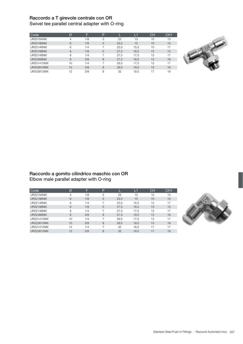## Raccordo a T girevole centrale con OR

Swivel tee parallel central adapter with O-ring

| Code              | Ø  | E   | P |      | L1   | <b>CH</b> | CH <sub>1</sub> |
|-------------------|----|-----|---|------|------|-----------|-----------------|
| UR20184NIX        | 4  | 1/8 | 5 | 22   | 15   | 10        | 13              |
| <b>UR20186NIX</b> | 6  | 1/8 | 5 | 23.5 | 15   | 10        | 13              |
| UR20146NIX        | 6  | 1/4 |   | 23.5 | 15.5 | 10        | 17              |
| <b>UR20188NIX</b> | 8  | 1/8 | 5 | 27.5 | 16.5 | 13        | 13              |
| UR20148NIX        | 8  | 1/4 |   | 27.5 | 17.5 | 13        | 17              |
| UR20388NIX        | 8  | 3/8 | 8 | 27.5 | 19.5 | 13        | 19              |
| UR201410NIX       | 10 | 1/4 |   | 29.5 | 17.5 | 13        | 17              |
| UR203810NIX       | 10 | 3/8 | 8 | 29.5 | 19.5 | 13        | 19              |
| UR203812NIX       | 12 | 3/8 | 8 | 32   | 19.5 | 17        | 19              |



#### Raccordo a gomito cilindrico maschio con OR Elbow male parallel adapter with O-ring

| Code              | Ø  | Е   | P |      | 11   | <b>CH</b> | CH <sub>1</sub> |
|-------------------|----|-----|---|------|------|-----------|-----------------|
| <b>UR22184NIX</b> | 4  | 1/8 | 5 | 22   | 15   | 10        | 13              |
| <b>UR22186NIX</b> | 6  | 1/8 | 5 | 23.5 | 15   | 10        | 13              |
| UR22146NIX        | 6  | 1/4 |   | 23.5 | 15.5 | 10        | 17              |
| <b>UR22188NIX</b> | 8  | 1/8 | 5 | 27.5 | 16.5 | 13        | 13              |
| UR22148NIX        | 8  | 1/4 |   | 27.5 | 17.5 | 13        | 17              |
| <b>UR22388NIX</b> | 8  | 3/8 | 8 | 27.5 | 19.5 | 13        | 19              |
| UR221410NIX       | 10 | 1/4 |   | 29.5 | 17.5 | 13        | 17              |
| UR223810NIX       | 10 | 3/8 | 8 | 29.5 | 19.5 | 13        | 19              |
| UR221412NIX       | 12 | 1/4 |   | 32   | 18.5 | 17        | 17              |
| UR223812NIX       | 12 | 3/8 | 8 | 32   | 19.5 | 17        | 19              |